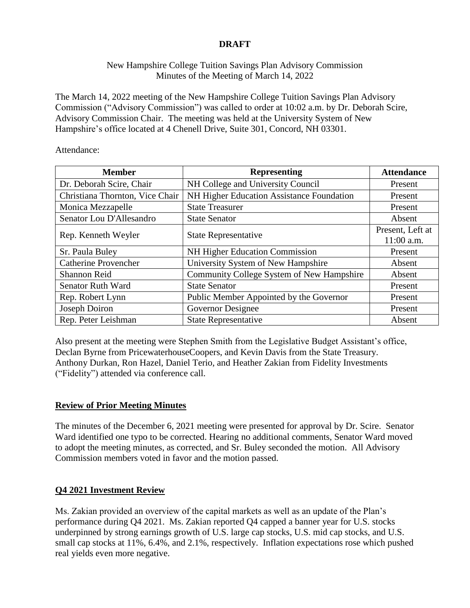# **DRAFT**

## New Hampshire College Tuition Savings Plan Advisory Commission Minutes of the Meeting of March 14, 2022

The March 14, 2022 meeting of the New Hampshire College Tuition Savings Plan Advisory Commission ("Advisory Commission") was called to order at 10:02 a.m. by Dr. Deborah Scire, Advisory Commission Chair. The meeting was held at the University System of New Hampshire's office located at 4 Chenell Drive, Suite 301, Concord, NH 03301.

Attendance:

| <b>Member</b>                   | <b>Representing</b>                              | <b>Attendance</b> |
|---------------------------------|--------------------------------------------------|-------------------|
| Dr. Deborah Scire, Chair        | NH College and University Council                | Present           |
| Christiana Thornton, Vice Chair | <b>NH Higher Education Assistance Foundation</b> | Present           |
| Monica Mezzapelle               | <b>State Treasurer</b>                           | Present           |
| Senator Lou D'Allesandro        | <b>State Senator</b>                             | Absent            |
| Rep. Kenneth Weyler             | <b>State Representative</b>                      | Present, Left at  |
|                                 |                                                  | 11:00 a.m.        |
| Sr. Paula Buley                 | NH Higher Education Commission                   | Present           |
| <b>Catherine Provencher</b>     | University System of New Hampshire               | Absent            |
| Shannon Reid                    | Community College System of New Hampshire        | Absent            |
| <b>Senator Ruth Ward</b>        | <b>State Senator</b>                             | Present           |
| Rep. Robert Lynn                | Public Member Appointed by the Governor          | Present           |
| Joseph Doiron                   | Governor Designee                                | Present           |
| Rep. Peter Leishman             | <b>State Representative</b>                      | Absent            |

Also present at the meeting were Stephen Smith from the Legislative Budget Assistant's office, Declan Byrne from PricewaterhouseCoopers, and Kevin Davis from the State Treasury. Anthony Durkan, Ron Hazel, Daniel Terio, and Heather Zakian from Fidelity Investments ("Fidelity") attended via conference call.

# **Review of Prior Meeting Minutes**

The minutes of the December 6, 2021 meeting were presented for approval by Dr. Scire. Senator Ward identified one typo to be corrected. Hearing no additional comments, Senator Ward moved to adopt the meeting minutes, as corrected, and Sr. Buley seconded the motion. All Advisory Commission members voted in favor and the motion passed.

# **Q4 2021 Investment Review**

Ms. Zakian provided an overview of the capital markets as well as an update of the Plan's performance during Q4 2021. Ms. Zakian reported Q4 capped a banner year for U.S. stocks underpinned by strong earnings growth of U.S. large cap stocks, U.S. mid cap stocks, and U.S. small cap stocks at 11%, 6.4%, and 2.1%, respectively. Inflation expectations rose which pushed real yields even more negative.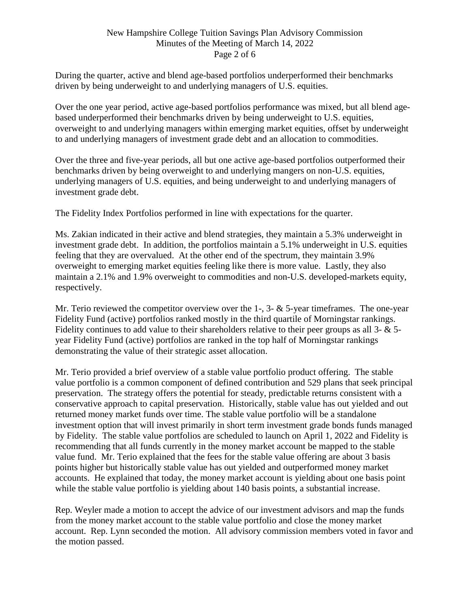### New Hampshire College Tuition Savings Plan Advisory Commission Minutes of the Meeting of March 14, 2022 Page 2 of 6

During the quarter, active and blend age-based portfolios underperformed their benchmarks driven by being underweight to and underlying managers of U.S. equities.

Over the one year period, active age-based portfolios performance was mixed, but all blend agebased underperformed their benchmarks driven by being underweight to U.S. equities, overweight to and underlying managers within emerging market equities, offset by underweight to and underlying managers of investment grade debt and an allocation to commodities.

Over the three and five-year periods, all but one active age-based portfolios outperformed their benchmarks driven by being overweight to and underlying mangers on non-U.S. equities, underlying managers of U.S. equities, and being underweight to and underlying managers of investment grade debt.

The Fidelity Index Portfolios performed in line with expectations for the quarter.

Ms. Zakian indicated in their active and blend strategies, they maintain a 5.3% underweight in investment grade debt. In addition, the portfolios maintain a 5.1% underweight in U.S. equities feeling that they are overvalued. At the other end of the spectrum, they maintain 3.9% overweight to emerging market equities feeling like there is more value. Lastly, they also maintain a 2.1% and 1.9% overweight to commodities and non-U.S. developed-markets equity, respectively.

Mr. Terio reviewed the competitor overview over the 1-, 3-  $\&$  5-year timeframes. The one-year Fidelity Fund (active) portfolios ranked mostly in the third quartile of Morningstar rankings. Fidelity continues to add value to their shareholders relative to their peer groups as all 3- & 5 year Fidelity Fund (active) portfolios are ranked in the top half of Morningstar rankings demonstrating the value of their strategic asset allocation.

Mr. Terio provided a brief overview of a stable value portfolio product offering. The stable value portfolio is a common component of defined contribution and 529 plans that seek principal preservation. The strategy offers the potential for steady, predictable returns consistent with a conservative approach to capital preservation. Historically, stable value has out yielded and out returned money market funds over time. The stable value portfolio will be a standalone investment option that will invest primarily in short term investment grade bonds funds managed by Fidelity. The stable value portfolios are scheduled to launch on April 1, 2022 and Fidelity is recommending that all funds currently in the money market account be mapped to the stable value fund. Mr. Terio explained that the fees for the stable value offering are about 3 basis points higher but historically stable value has out yielded and outperformed money market accounts. He explained that today, the money market account is yielding about one basis point while the stable value portfolio is yielding about 140 basis points, a substantial increase.

Rep. Weyler made a motion to accept the advice of our investment advisors and map the funds from the money market account to the stable value portfolio and close the money market account. Rep. Lynn seconded the motion. All advisory commission members voted in favor and the motion passed.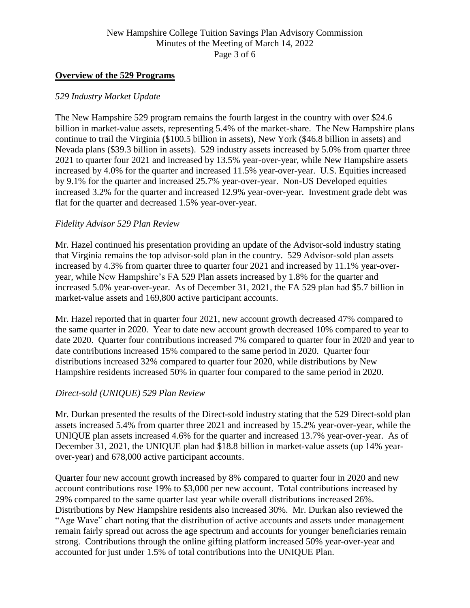### New Hampshire College Tuition Savings Plan Advisory Commission Minutes of the Meeting of March 14, 2022 Page 3 of 6

#### **Overview of the 529 Programs**

#### *529 Industry Market Update*

The New Hampshire 529 program remains the fourth largest in the country with over \$24.6 billion in market-value assets, representing 5.4% of the market-share. The New Hampshire plans continue to trail the Virginia (\$100.5 billion in assets), New York (\$46.8 billion in assets) and Nevada plans (\$39.3 billion in assets). 529 industry assets increased by 5.0% from quarter three 2021 to quarter four 2021 and increased by 13.5% year-over-year, while New Hampshire assets increased by 4.0% for the quarter and increased 11.5% year-over-year. U.S. Equities increased by 9.1% for the quarter and increased 25.7% year-over-year. Non-US Developed equities increased 3.2% for the quarter and increased 12.9% year-over-year. Investment grade debt was flat for the quarter and decreased 1.5% year-over-year.

#### *Fidelity Advisor 529 Plan Review*

Mr. Hazel continued his presentation providing an update of the Advisor-sold industry stating that Virginia remains the top advisor-sold plan in the country. 529 Advisor-sold plan assets increased by 4.3% from quarter three to quarter four 2021 and increased by 11.1% year-overyear, while New Hampshire's FA 529 Plan assets increased by 1.8% for the quarter and increased 5.0% year-over-year. As of December 31, 2021, the FA 529 plan had \$5.7 billion in market-value assets and 169,800 active participant accounts.

Mr. Hazel reported that in quarter four 2021, new account growth decreased 47% compared to the same quarter in 2020. Year to date new account growth decreased 10% compared to year to date 2020. Quarter four contributions increased 7% compared to quarter four in 2020 and year to date contributions increased 15% compared to the same period in 2020. Quarter four distributions increased 32% compared to quarter four 2020, while distributions by New Hampshire residents increased 50% in quarter four compared to the same period in 2020.

#### *Direct-sold (UNIQUE) 529 Plan Review*

Mr. Durkan presented the results of the Direct-sold industry stating that the 529 Direct-sold plan assets increased 5.4% from quarter three 2021 and increased by 15.2% year-over-year, while the UNIQUE plan assets increased 4.6% for the quarter and increased 13.7% year-over-year. As of December 31, 2021, the UNIQUE plan had \$18.8 billion in market-value assets (up 14% yearover-year) and 678,000 active participant accounts.

Quarter four new account growth increased by 8% compared to quarter four in 2020 and new account contributions rose 19% to \$3,000 per new account. Total contributions increased by 29% compared to the same quarter last year while overall distributions increased 26%. Distributions by New Hampshire residents also increased 30%. Mr. Durkan also reviewed the "Age Wave" chart noting that the distribution of active accounts and assets under management remain fairly spread out across the age spectrum and accounts for younger beneficiaries remain strong. Contributions through the online gifting platform increased 50% year-over-year and accounted for just under 1.5% of total contributions into the UNIQUE Plan.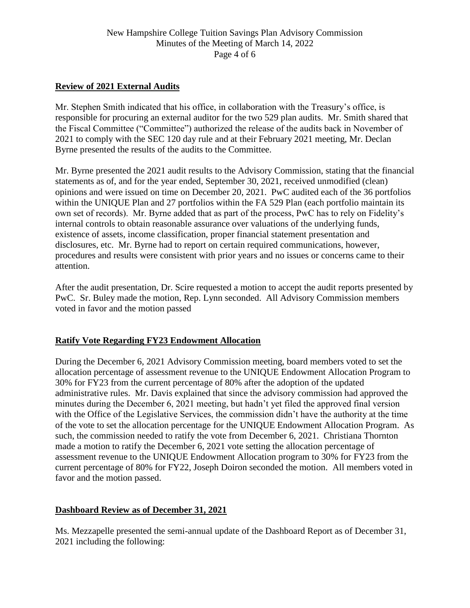### New Hampshire College Tuition Savings Plan Advisory Commission Minutes of the Meeting of March 14, 2022 Page 4 of 6

## **Review of 2021 External Audits**

Mr. Stephen Smith indicated that his office, in collaboration with the Treasury's office, is responsible for procuring an external auditor for the two 529 plan audits. Mr. Smith shared that the Fiscal Committee ("Committee") authorized the release of the audits back in November of 2021 to comply with the SEC 120 day rule and at their February 2021 meeting, Mr. Declan Byrne presented the results of the audits to the Committee.

Mr. Byrne presented the 2021 audit results to the Advisory Commission, stating that the financial statements as of, and for the year ended, September 30, 2021, received unmodified (clean) opinions and were issued on time on December 20, 2021. PwC audited each of the 36 portfolios within the UNIQUE Plan and 27 portfolios within the FA 529 Plan (each portfolio maintain its own set of records). Mr. Byrne added that as part of the process, PwC has to rely on Fidelity's internal controls to obtain reasonable assurance over valuations of the underlying funds, existence of assets, income classification, proper financial statement presentation and disclosures, etc. Mr. Byrne had to report on certain required communications, however, procedures and results were consistent with prior years and no issues or concerns came to their attention.

After the audit presentation, Dr. Scire requested a motion to accept the audit reports presented by PwC. Sr. Buley made the motion, Rep. Lynn seconded. All Advisory Commission members voted in favor and the motion passed

#### **Ratify Vote Regarding FY23 Endowment Allocation**

During the December 6, 2021 Advisory Commission meeting, board members voted to set the allocation percentage of assessment revenue to the UNIQUE Endowment Allocation Program to 30% for FY23 from the current percentage of 80% after the adoption of the updated administrative rules. Mr. Davis explained that since the advisory commission had approved the minutes during the December 6, 2021 meeting, but hadn't yet filed the approved final version with the Office of the Legislative Services, the commission didn't have the authority at the time of the vote to set the allocation percentage for the UNIQUE Endowment Allocation Program. As such, the commission needed to ratify the vote from December 6, 2021. Christiana Thornton made a motion to ratify the December 6, 2021 vote setting the allocation percentage of assessment revenue to the UNIQUE Endowment Allocation program to 30% for FY23 from the current percentage of 80% for FY22, Joseph Doiron seconded the motion. All members voted in favor and the motion passed.

#### **Dashboard Review as of December 31, 2021**

Ms. Mezzapelle presented the semi-annual update of the Dashboard Report as of December 31, 2021 including the following: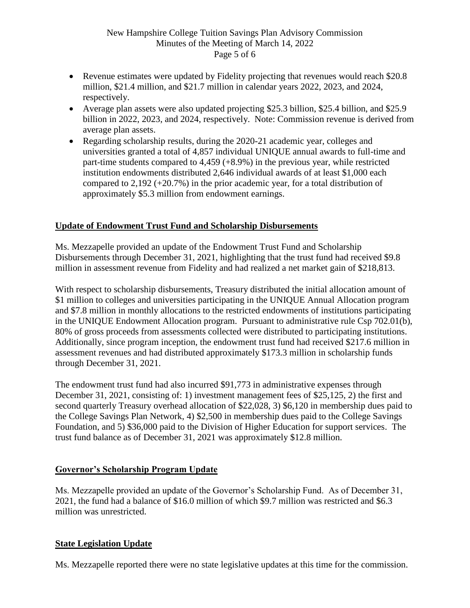## New Hampshire College Tuition Savings Plan Advisory Commission Minutes of the Meeting of March 14, 2022 Page 5 of 6

- Revenue estimates were updated by Fidelity projecting that revenues would reach \$20.8 million, \$21.4 million, and \$21.7 million in calendar years 2022, 2023, and 2024, respectively.
- Average plan assets were also updated projecting \$25.3 billion, \$25.4 billion, and \$25.9 billion in 2022, 2023, and 2024, respectively. Note: Commission revenue is derived from average plan assets.
- Regarding scholarship results, during the 2020-21 academic year, colleges and universities granted a total of 4,857 individual UNIQUE annual awards to full-time and part-time students compared to 4,459 (+8.9%) in the previous year, while restricted institution endowments distributed 2,646 individual awards of at least \$1,000 each compared to 2,192 (+20.7%) in the prior academic year, for a total distribution of approximately \$5.3 million from endowment earnings.

# **Update of Endowment Trust Fund and Scholarship Disbursements**

Ms. Mezzapelle provided an update of the Endowment Trust Fund and Scholarship Disbursements through December 31, 2021, highlighting that the trust fund had received \$9.8 million in assessment revenue from Fidelity and had realized a net market gain of \$218,813.

With respect to scholarship disbursements, Treasury distributed the initial allocation amount of \$1 million to colleges and universities participating in the UNIQUE Annual Allocation program and \$7.8 million in monthly allocations to the restricted endowments of institutions participating in the UNIQUE Endowment Allocation program. Pursuant to administrative rule Csp 702.01(b), 80% of gross proceeds from assessments collected were distributed to participating institutions. Additionally, since program inception, the endowment trust fund had received \$217.6 million in assessment revenues and had distributed approximately \$173.3 million in scholarship funds through December 31, 2021.

The endowment trust fund had also incurred \$91,773 in administrative expenses through December 31, 2021, consisting of: 1) investment management fees of \$25,125, 2) the first and second quarterly Treasury overhead allocation of \$22,028, 3) \$6,120 in membership dues paid to the College Savings Plan Network, 4) \$2,500 in membership dues paid to the College Savings Foundation, and 5) \$36,000 paid to the Division of Higher Education for support services. The trust fund balance as of December 31, 2021 was approximately \$12.8 million.

# **Governor's Scholarship Program Update**

Ms. Mezzapelle provided an update of the Governor's Scholarship Fund. As of December 31, 2021, the fund had a balance of \$16.0 million of which \$9.7 million was restricted and \$6.3 million was unrestricted.

# **State Legislation Update**

Ms. Mezzapelle reported there were no state legislative updates at this time for the commission.